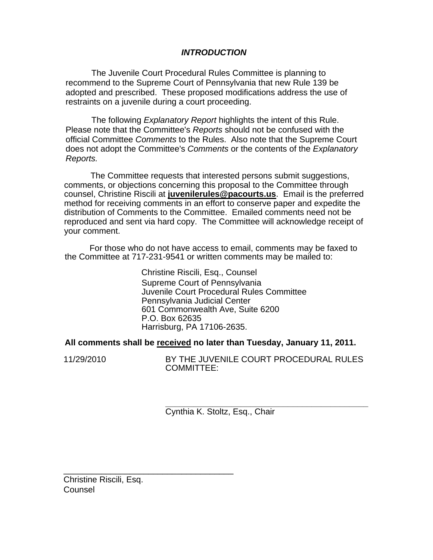## *INTRODUCTION*

The Juvenile Court Procedural Rules Committee is planning to recommend to the Supreme Court of Pennsylvania that new Rule 139 be adopted and prescribed. These proposed modifications address the use of restraints on a juvenile during a court proceeding.

The following *Explanatory Report* highlights the intent of this Rule. Please note that the Committee's *Reports* should not be confused with the official Committee *Comments* to the Rules. Also note that the Supreme Court does not adopt the Committee's *Comments* or the contents of the *Explanatory Reports.* 

The Committee requests that interested persons submit suggestions, comments, or objections concerning this proposal to the Committee through counsel, Christine Riscili at **juvenilerules@pacourts.us**. Email is the preferred method for receiving comments in an effort to conserve paper and expedite the distribution of Comments to the Committee. Emailed comments need not be reproduced and sent via hard copy. The Committee will acknowledge receipt of your comment.

 For those who do not have access to email, comments may be faxed to the Committee at 717-231-9541 or written comments may be mailed to:

> Christine Riscili, Esq., Counsel Supreme Court of Pennsylvania Juvenile Court Procedural Rules Committee Pennsylvania Judicial Center 601 Commonwealth Ave, Suite 6200 P.O. Box 62635 Harrisburg, PA 17106-2635.

**All comments shall be received no later than Tuesday, January 11, 2011.** 

11/29/2010 BY THE JUVENILE COURT PROCEDURAL RULES COMMITTEE:

> **\_\_\_\_\_\_\_\_\_\_\_\_\_\_\_\_\_\_\_\_\_\_\_\_\_\_\_\_\_\_\_\_\_\_\_\_\_\_\_\_\_\_\_**  Cynthia K. Stoltz, Esq., Chair

Christine Riscili, Esq. **Counsel** 

\_\_\_\_\_\_\_\_\_\_\_\_\_\_\_\_\_\_\_\_\_\_\_\_\_\_\_\_\_\_\_\_\_\_\_\_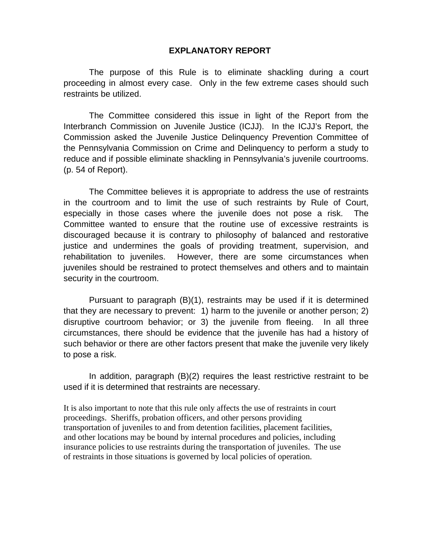## **EXPLANATORY REPORT**

The purpose of this Rule is to eliminate shackling during a court proceeding in almost every case. Only in the few extreme cases should such restraints be utilized.

The Committee considered this issue in light of the Report from the Interbranch Commission on Juvenile Justice (ICJJ). In the ICJJ's Report, the Commission asked the Juvenile Justice Delinquency Prevention Committee of the Pennsylvania Commission on Crime and Delinquency to perform a study to reduce and if possible eliminate shackling in Pennsylvania's juvenile courtrooms. (p. 54 of Report).

The Committee believes it is appropriate to address the use of restraints in the courtroom and to limit the use of such restraints by Rule of Court, especially in those cases where the juvenile does not pose a risk. The Committee wanted to ensure that the routine use of excessive restraints is discouraged because it is contrary to philosophy of balanced and restorative justice and undermines the goals of providing treatment, supervision, and rehabilitation to juveniles. However, there are some circumstances when juveniles should be restrained to protect themselves and others and to maintain security in the courtroom.

Pursuant to paragraph (B)(1), restraints may be used if it is determined that they are necessary to prevent: 1) harm to the juvenile or another person; 2) disruptive courtroom behavior; or 3) the juvenile from fleeing. In all three circumstances, there should be evidence that the juvenile has had a history of such behavior or there are other factors present that make the juvenile very likely to pose a risk.

In addition, paragraph (B)(2) requires the least restrictive restraint to be used if it is determined that restraints are necessary.

It is also important to note that this rule only affects the use of restraints in court proceedings. Sheriffs, probation officers, and other persons providing transportation of juveniles to and from detention facilities, placement facilities, and other locations may be bound by internal procedures and policies, including insurance policies to use restraints during the transportation of juveniles. The use of restraints in those situations is governed by local policies of operation.